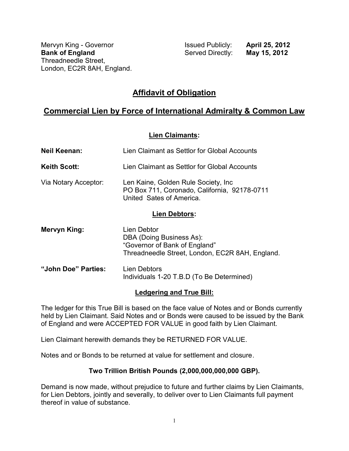Mervyn King - Governor **Internative Communist Communist Communist Communist Communist Communist Communist Communist Communist Communist Communist Communist Communist Communist Communist Communist Communist Communist Commun Bank of England** Served Directly: **May 15, 2012** Threadneedle Street, London, EC2R 8AH, England.

# **Affidavit of Obligation**

# **Commercial Lien by Force of International Admiralty & Common Law**

#### **Lien Claimants:**

| <b>Neil Keenan:</b>  | Lien Claimant as Settlor for Global Accounts                                                                                |
|----------------------|-----------------------------------------------------------------------------------------------------------------------------|
| <b>Keith Scott:</b>  | Lien Claimant as Settlor for Global Accounts                                                                                |
| Via Notary Acceptor: | Len Kaine, Golden Rule Society, Inc.<br>PO Box 711, Coronado, California, 92178-0711<br>United Sates of America.            |
| <b>Lien Debtors:</b> |                                                                                                                             |
| Mervyn King:         | Lien Debtor<br>DBA (Doing Business As):<br>"Governor of Bank of England"<br>Threadneedle Street, London, EC2R 8AH, England. |
| "John Doe" Parties:  | Lien Debtors<br>Individuals 1-20 T.B.D (To Be Determined)                                                                   |

#### **Ledgering and True Bill:**

The ledger for this True Bill is based on the face value of Notes and or Bonds currently held by Lien Claimant. Said Notes and or Bonds were caused to be issued by the Bank of England and were ACCEPTED FOR VALUE in good faith by Lien Claimant.

Lien Claimant herewith demands they be RETURNED FOR VALUE.

Notes and or Bonds to be returned at value for settlement and closure.

### **Two Trillion British Pounds (2,000,000,000,000 GBP).**

Demand is now made, without prejudice to future and further claims by Lien Claimants, for Lien Debtors, jointly and severally, to deliver over to Lien Claimants full payment thereof in value of substance.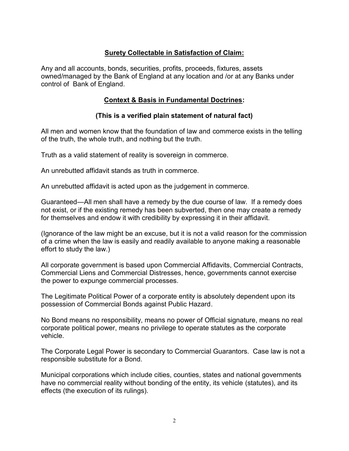# **Surety Collectable in Satisfaction of Claim:**

Any and all accounts, bonds, securities, profits, proceeds, fixtures, assets owned/managed by the Bank of England at any location and /or at any Banks under control of Bank of England.

#### **Context & Basis in Fundamental Doctrines:**

#### **(This is a verified plain statement of natural fact)**

All men and women know that the foundation of law and commerce exists in the telling of the truth, the whole truth, and nothing but the truth.

Truth as a valid statement of reality is sovereign in commerce.

An unrebutted affidavit stands as truth in commerce.

An unrebutted affidavit is acted upon as the judgement in commerce.

Guaranteed—All men shall have a remedy by the due course of law. If a remedy does not exist, or if the existing remedy has been subverted, then one may create a remedy for themselves and endow it with credibility by expressing it in their affidavit.

(Ignorance of the law might be an excuse, but it is not a valid reason for the commission of a crime when the law is easily and readily available to anyone making a reasonable effort to study the law.)

All corporate government is based upon Commercial Affidavits, Commercial Contracts, Commercial Liens and Commercial Distresses, hence, governments cannot exercise the power to expunge commercial processes.

The Legitimate Political Power of a corporate entity is absolutely dependent upon its possession of Commercial Bonds against Public Hazard.

No Bond means no responsibility, means no power of Official signature, means no real corporate political power, means no privilege to operate statutes as the corporate vehicle.

The Corporate Legal Power is secondary to Commercial Guarantors. Case law is not a responsible substitute for a Bond.

Municipal corporations which include cities, counties, states and national governments have no commercial reality without bonding of the entity, its vehicle (statutes), and its effects (the execution of its rulings).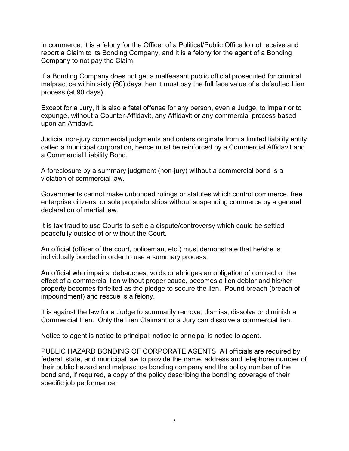In commerce, it is a felony for the Officer of a Political/Public Office to not receive and report a Claim to its Bonding Company, and it is a felony for the agent of a Bonding Company to not pay the Claim.

If a Bonding Company does not get a malfeasant public official prosecuted for criminal malpractice within sixty (60) days then it must pay the full face value of a defaulted Lien process (at 90 days).

Except for a Jury, it is also a fatal offense for any person, even a Judge, to impair or to expunge, without a Counter-Affidavit, any Affidavit or any commercial process based upon an Affidavit.

Judicial non-jury commercial judgments and orders originate from a limited liability entity called a municipal corporation, hence must be reinforced by a Commercial Affidavit and a Commercial Liability Bond.

A foreclosure by a summary judgment (non-jury) without a commercial bond is a violation of commercial law.

Governments cannot make unbonded rulings or statutes which control commerce, free enterprise citizens, or sole proprietorships without suspending commerce by a general declaration of martial law.

It is tax fraud to use Courts to settle a dispute/controversy which could be settled peacefully outside of or without the Court.

An official (officer of the court, policeman, etc.) must demonstrate that he/she is individually bonded in order to use a summary process.

An official who impairs, debauches, voids or abridges an obligation of contract or the effect of a commercial lien without proper cause, becomes a lien debtor and his/her property becomes forfeited as the pledge to secure the lien. Pound breach (breach of impoundment) and rescue is a felony.

It is against the law for a Judge to summarily remove, dismiss, dissolve or diminish a Commercial Lien. Only the Lien Claimant or a Jury can dissolve a commercial lien.

Notice to agent is notice to principal; notice to principal is notice to agent.

PUBLIC HAZARD BONDING OF CORPORATE AGENTS All officials are required by federal, state, and municipal law to provide the name, address and telephone number of their public hazard and malpractice bonding company and the policy number of the bond and, if required, a copy of the policy describing the bonding coverage of their specific job performance.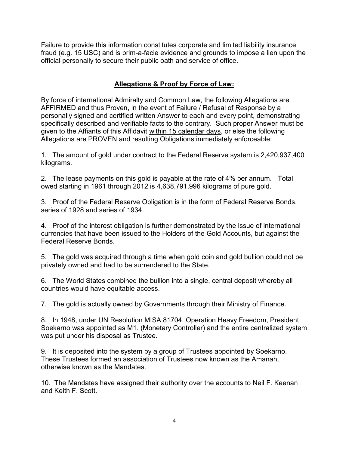Failure to provide this information constitutes corporate and limited liability insurance fraud (e.g. 15 USC) and is prim-a-facie evidence and grounds to impose a lien upon the official personally to secure their public oath and service of office.

## **Allegations & Proof by Force of Law:**

By force of international Admiralty and Common Law, the following Allegations are AFFIRMED and thus Proven, in the event of Failure / Refusal of Response by a personally signed and certified written Answer to each and every point, demonstrating specifically described and verifiable facts to the contrary. Such proper Answer must be given to the Affiants of this Affidavit within 15 calendar days, or else the following Allegations are PROVEN and resulting Obligations immediately enforceable:

1. The amount of gold under contract to the Federal Reserve system is 2,420,937,400 kilograms.

2. The lease payments on this gold is payable at the rate of 4% per annum. Total owed starting in 1961 through 2012 is 4,638,791,996 kilograms of pure gold.

3. Proof of the Federal Reserve Obligation is in the form of Federal Reserve Bonds, series of 1928 and series of 1934.

4. Proof of the interest obligation is further demonstrated by the issue of international currencies that have been issued to the Holders of the Gold Accounts, but against the Federal Reserve Bonds.

5. The gold was acquired through a time when gold coin and gold bullion could not be privately owned and had to be surrendered to the State.

6. The World States combined the bullion into a single, central deposit whereby all countries would have equitable access.

7. The gold is actually owned by Governments through their Ministry of Finance.

8. In 1948, under UN Resolution MISA 81704, Operation Heavy Freedom, President Soekarno was appointed as M1. (Monetary Controller) and the entire centralized system was put under his disposal as Trustee.

9. It is deposited into the system by a group of Trustees appointed by Soekarno. These Trustees formed an association of Trustees now known as the Amanah, otherwise known as the Mandates.

10. The Mandates have assigned their authority over the accounts to Neil F. Keenan and Keith F. Scott.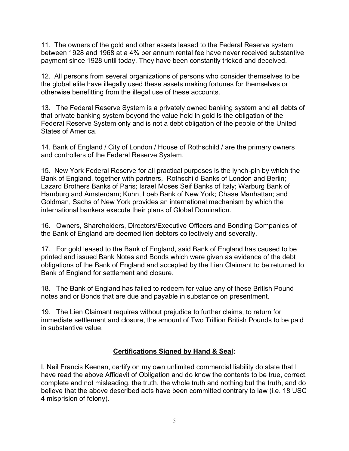11. The owners of the gold and other assets leased to the Federal Reserve system between 1928 and 1968 at a 4% per annum rental fee have never received substantive payment since 1928 until today. They have been constantly tricked and deceived.

12. All persons from several organizations of persons who consider themselves to be the global elite have illegally used these assets making fortunes for themselves or otherwise benefitting from the illegal use of these accounts.

13. The Federal Reserve System is a privately owned banking system and all debts of that private banking system beyond the value held in gold is the obligation of the Federal Reserve System only and is not a debt obligation of the people of the United States of America.

14. Bank of England / City of London / House of Rothschild / are the primary owners and controllers of the Federal Reserve System.

15. New York Federal Reserve for all practical purposes is the lynch-pin by which the Bank of England, together with partners, Rothschild Banks of London and Berlin; Lazard Brothers Banks of Paris; Israel Moses Seif Banks of Italy; Warburg Bank of Hamburg and Amsterdam; Kuhn, Loeb Bank of New York; Chase Manhattan; and Goldman, Sachs of New York provides an international mechanism by which the international bankers execute their plans of Global Domination.

16. Owners, Shareholders, Directors/Executive Officers and Bonding Companies of the Bank of England are deemed lien debtors collectively and severally.

17. For gold leased to the Bank of England, said Bank of England has caused to be printed and issued Bank Notes and Bonds which were given as evidence of the debt obligations of the Bank of England and accepted by the Lien Claimant to be returned to Bank of England for settlement and closure.

18. The Bank of England has failed to redeem for value any of these British Pound notes and or Bonds that are due and payable in substance on presentment.

19. The Lien Claimant requires without prejudice to further claims, to return for immediate settlement and closure, the amount of Two Trillion British Pounds to be paid in substantive value.

# **Certifications Signed by Hand & Seal:**

I, Neil Francis Keenan, certify on my own unlimited commercial liability do state that I have read the above Affidavit of Obligation and do know the contents to be true, correct, complete and not misleading, the truth, the whole truth and nothing but the truth, and do believe that the above described acts have been committed contrary to law (i.e. 18 USC 4 misprision of felony).